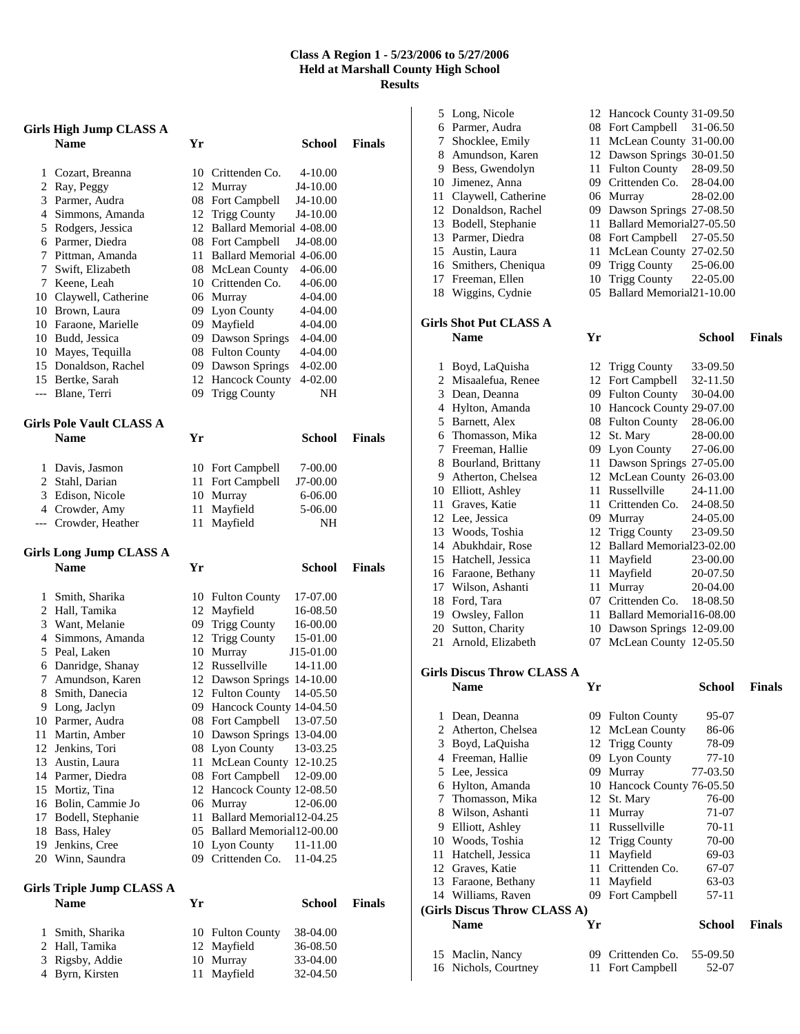#### **Class A Region 1 - 5/23/2006 to 5/27/2006 Held at Marshall County High School Results**

|    | <b>Girls High Jump CLASS A</b>                  |    |                                       |                      |               |
|----|-------------------------------------------------|----|---------------------------------------|----------------------|---------------|
|    | <b>Name</b>                                     | Yr |                                       | School               | <b>Finals</b> |
| 1  | Cozart, Breanna                                 |    | 10 Crittenden Co.                     | $4 - 10.00$          |               |
|    | 2 Ray, Peggy                                    |    | 12 Murray                             | J4-10.00             |               |
|    | 3 Parmer, Audra                                 |    | 08 Fort Campbell                      | J4-10.00             |               |
|    | 4 Simmons, Amanda                               |    | 12 Trigg County                       | J4-10.00             |               |
|    | 5 Rodgers, Jessica                              |    | 12 Ballard Memorial 4-08.00           |                      |               |
|    | 6 Parmer, Diedra                                |    | 08 Fort Campbell                      | J4-08.00             |               |
| 7  | Pittman, Amanda                                 |    | 11 Ballard Memorial 4-06.00           |                      |               |
| 7  | Swift, Elizabeth                                |    | 08 McLean County                      | 4-06.00              |               |
|    | 7 Keene, Leah                                   |    | 10 Crittenden Co.                     | 4-06.00              |               |
|    | 10 Claywell, Catherine                          |    | 06 Murray                             | 4-04.00              |               |
|    | 10 Brown, Laura                                 |    | 09 Lyon County                        | 4-04.00              |               |
|    | 10 Faraone, Marielle                            |    | 09 Mayfield                           | 4-04.00              |               |
|    | 10 Budd, Jessica                                |    | 09 Dawson Springs                     | 4-04.00              |               |
|    | 10 Mayes, Tequilla<br>15 Donaldson, Rachel      |    | 08 Fulton County<br>09 Dawson Springs | 4-04.00<br>4-02.00   |               |
|    | 15 Bertke, Sarah                                |    | 12 Hancock County                     | 4-02.00              |               |
|    | --- Blane, Terri                                | 09 | <b>Trigg County</b>                   | NH                   |               |
|    |                                                 |    |                                       |                      |               |
|    | <b>Girls Pole Vault CLASS A</b>                 |    |                                       |                      |               |
|    | <b>Name</b>                                     | Yr |                                       | School               | <b>Finals</b> |
| 1  | Davis, Jasmon                                   |    | 10 Fort Campbell                      | 7-00.00              |               |
|    | 2 Stahl, Darian                                 |    | 11 Fort Campbell                      | J7-00.00             |               |
|    | 3 Edison, Nicole                                |    | 10 Murray                             | 6-06.00              |               |
|    | 4 Crowder, Amy                                  | 11 | Mayfield                              | 5-06.00              |               |
|    | --- Crowder, Heather                            | 11 | Mayfield                              | NH                   |               |
|    |                                                 |    |                                       |                      |               |
|    | <b>Girls Long Jump CLASS A</b>                  |    |                                       |                      |               |
|    | <b>Name</b>                                     | Yr |                                       | School               | <b>Finals</b> |
| 1  | Smith, Sharika                                  |    | 10 Fulton County                      | 17-07.00             |               |
|    | 2 Hall, Tamika                                  |    | 12 Mayfield                           | 16-08.50             |               |
|    | 3 Want, Melanie                                 |    | 09 Trigg County                       | 16-00.00             |               |
|    | 4 Simmons, Amanda                               |    | 12 Trigg County                       | 15-01.00             |               |
|    | 5 Peal, Laken                                   | 10 | Murray                                | J15-01.00            |               |
|    | 6 Danridge, Shanay                              |    | 12 Russellville                       | 14-11.00             |               |
| 7  | Amundson, Karen                                 | 12 | Dawson Springs 14-10.00               |                      |               |
| 8  | Smith, Danecia                                  | 12 | <b>Fulton County</b>                  | 14-05.50             |               |
| 9  | Long, Jaclyn                                    | 09 | Hancock County 14-04.50               |                      |               |
|    | 10 Parmer, Audra                                |    | 08 Fort Campbell                      | 13-07.50             |               |
| 11 | Martin, Amber                                   |    | 10 Dawson Springs 13-04.00            |                      |               |
| 12 | Jenkins, Tori                                   |    | 08 Lyon County                        | 13-03.25             |               |
| 13 | Austin, Laura                                   | 11 | McLean County                         | 12-10.25             |               |
|    | 14 Parmer, Diedra                               |    | 08 Fort Campbell                      | 12-09.00             |               |
| 15 | Mortiz, Tina                                    |    | 12 Hancock County 12-08.50            |                      |               |
|    | 16 Bolin, Cammie Jo                             |    | 06 Murray                             | 12-06.00             |               |
| 17 | Bodell, Stephanie                               |    | 11 Ballard Memorial12-04.25           |                      |               |
| 18 | Bass, Haley                                     |    | 05 Ballard Memorial 12-00.00          |                      |               |
| 19 | Jenkins, Cree<br>20 Winn, Saundra               |    | 10 Lyon County<br>09 Crittenden Co.   | 11-11.00<br>11-04.25 |               |
|    |                                                 |    |                                       |                      |               |
|    | <b>Girls Triple Jump CLASS A</b><br><b>Name</b> | Yr |                                       | School               | <b>Finals</b> |
| 1  |                                                 |    |                                       |                      |               |
| 2  | Smith, Sharika<br>Hall, Tamika                  | 12 | 10 Fulton County<br>Mayfield          | 38-04.00<br>36-08.50 |               |

 Rigsby, Addie 10 Murray 33-04.00 Byrn, Kirsten 11 Mayfield 32-04.50

|    | 5 Long, Nicole                           |    | 12 Hancock County 31-09.50   |               |               |
|----|------------------------------------------|----|------------------------------|---------------|---------------|
|    | 6 Parmer, Audra                          |    | 08 Fort Campbell             | 31-06.50      |               |
|    | 7 Shocklee, Emily                        |    | 11 McLean County 31-00.00    |               |               |
|    | 8 Amundson, Karen                        |    | 12 Dawson Springs 30-01.50   |               |               |
|    | 9 Bess, Gwendolyn                        |    | 11 Fulton County             | 28-09.50      |               |
|    | 10 Jimenez, Anna                         |    | 09 Crittenden Co.            | 28-04.00      |               |
|    | 11 Claywell, Catherine                   |    | 06 Murray                    | 28-02.00      |               |
|    | 12 Donaldson, Rachel                     |    | 09 Dawson Springs 27-08.50   |               |               |
|    | 13 Bodell, Stephanie                     |    | 11 Ballard Memorial 27-05.50 |               |               |
|    | 13 Parmer, Diedra                        |    | 08 Fort Campbell             | 27-05.50      |               |
|    | 15 Austin, Laura                         |    | 11 McLean County 27-02.50    |               |               |
|    | 16 Smithers, Cheniqua                    |    | 09 Trigg County              | 25-06.00      |               |
|    | 17 Freeman, Ellen                        |    | 10 Trigg County              | 22-05.00      |               |
|    | 18 Wiggins, Cydnie                       |    | 05 Ballard Memorial21-10.00  |               |               |
|    |                                          |    |                              |               |               |
|    | <b>Girls Shot Put CLASS A</b>            |    |                              |               |               |
|    | <b>Name</b>                              | Yr |                              | <b>School</b> | <b>Finals</b> |
|    | 1 Boyd, LaQuisha                         |    | 12 Trigg County              | 33-09.50      |               |
|    | 2 Misaalefua, Renee                      |    | 12 Fort Campbell             | 32-11.50      |               |
|    | 3 Dean, Deanna                           |    | 09 Fulton County             | 30-04.00      |               |
|    | 4 Hylton, Amanda                         |    | 10 Hancock County 29-07.00   |               |               |
|    | 5 Barnett, Alex                          |    | 08 Fulton County             | 28-06.00      |               |
|    | 6 Thomasson, Mika                        |    | 12 St. Mary                  | 28-00.00      |               |
|    | 7 Freeman, Hallie                        |    | 09 Lyon County               | 27-06.00      |               |
|    | 8 Bourland, Brittany                     |    | 11 Dawson Springs 27-05.00   |               |               |
|    | 9 Atherton, Chelsea                      |    | 12 McLean County 26-03.00    |               |               |
|    | 10 Elliott, Ashley                       |    | 11 Russellville              | 24-11.00      |               |
|    | 11 Graves, Katie                         |    | 11 Crittenden Co.            | 24-08.50      |               |
|    | 12 Lee, Jessica                          |    | 09 Murray                    | 24-05.00      |               |
|    | 13 Woods, Toshia                         |    | 12 Trigg County              | 23-09.50      |               |
|    | 14 Abukhdair, Rose                       |    | 12 Ballard Memorial23-02.00  |               |               |
|    | 15 Hatchell, Jessica                     |    | 11 Mayfield                  | 23-00.00      |               |
|    | 16 Faraone, Bethany                      |    | 11 Mayfield                  | 20-07.50      |               |
|    | 17 Wilson, Ashanti                       |    | 11 Murray                    | 20-04.00      |               |
|    | 18 Ford, Tara                            |    | 07 Crittenden Co.            | 18-08.50      |               |
|    | 19 Owsley, Fallon                        |    | 11 Ballard Memorial16-08.00  |               |               |
|    | 20 Sutton, Charity                       |    | 10 Dawson Springs 12-09.00   |               |               |
| 21 | Arnold, Elizabeth                        | 07 | McLean County 12-05.50       |               |               |
|    |                                          |    |                              |               |               |
|    | <b>Girls Discus Throw CLASS A</b>        |    |                              |               |               |
|    | <b>Name</b>                              | Yr |                              | <b>School</b> | <b>Finals</b> |
|    |                                          |    |                              |               |               |
| 1  | Dean, Deanna                             |    | 09 Fulton County             | 95-07         |               |
|    |                                          |    |                              |               |               |
|    | 2 Atherton, Chelsea                      |    | 12 McLean County             | 86-06         |               |
|    | 3 Boyd, LaQuisha                         |    | 12 Trigg County              | 78-09         |               |
|    | 4 Freeman, Hallie                        |    | 09 Lyon County               | 77-10         |               |
|    | 5 Lee, Jessica                           |    | 09 Murray                    | 77-03.50      |               |
|    | 6 Hylton, Amanda                         |    | 10 Hancock County 76-05.50   |               |               |
|    | 7 Thomasson, Mika                        |    | 12 St. Mary                  | 76-00         |               |
|    | 8 Wilson, Ashanti                        |    | 11 Murray                    | 71-07         |               |
|    | 9 Elliott, Ashley                        | 11 | Russellville                 | 70-11         |               |
|    | 10 Woods, Toshia                         |    | 12 Trigg County              | 70-00         |               |
|    | 11 Hatchell, Jessica                     | 11 | Mayfield                     | 69-03         |               |
|    | 12 Graves, Katie                         |    | 11 Crittenden Co.            | 67-07         |               |
|    | 13 Faraone, Bethany                      | 11 | Mayfield                     | 63-03         |               |
|    | 14 Williams, Raven                       | 09 | Fort Campbell                | 57-11         |               |
|    | (Girls Discus Throw CLASS A)             |    |                              |               |               |
|    | <b>Name</b>                              | Yr |                              | <b>School</b> | <b>Finals</b> |
|    |                                          |    | 09 Crittenden Co.            | 55-09.50      |               |
|    | 15 Maclin, Nancy<br>16 Nichols, Courtney | 11 | Fort Campbell                | 52-07         |               |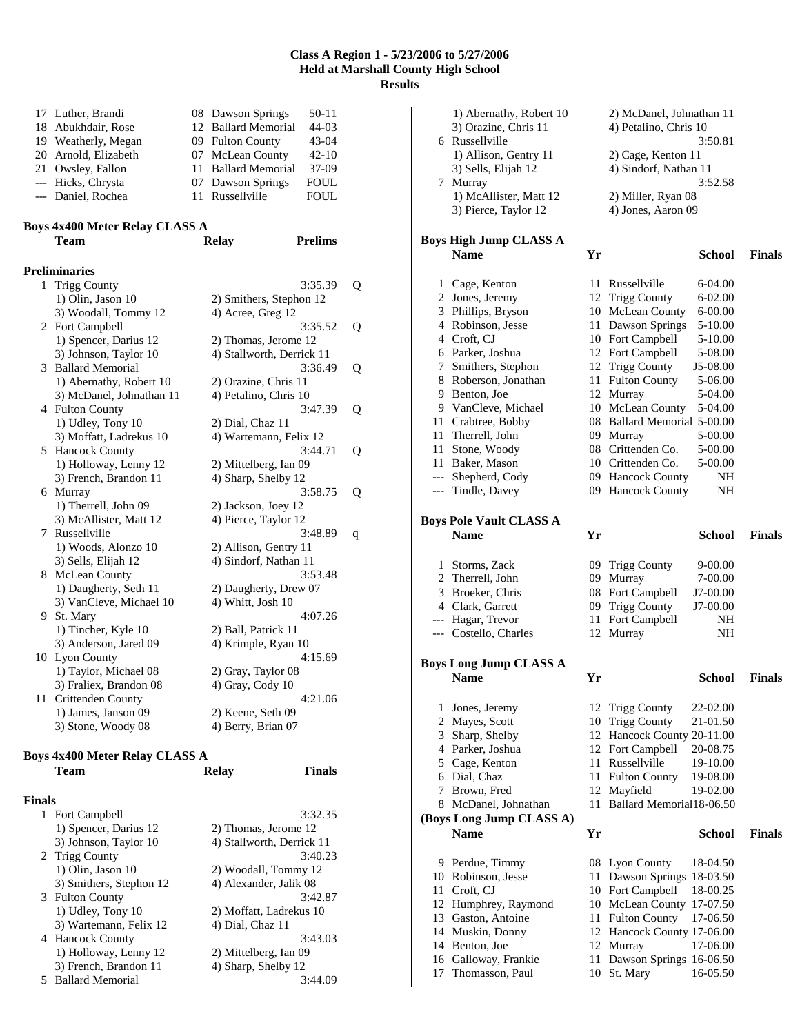#### **Class A Region 1 - 5/23/2006 to 5/27/2006 Held at Marshall County High School Results**

| 17 Luther, Brandi    | 08 Dawson Springs   | 50-11       |
|----------------------|---------------------|-------------|
| 18 Abukhdair, Rose   | 12 Ballard Memorial | $44 - 03$   |
| 19 Weatherly, Megan  | 09 Fulton County    | $43-04$     |
| 20 Arnold, Elizabeth | 07 McLean County    | $42 - 10$   |
| 21 Owsley, Fallon    | 11 Ballard Memorial | $37-09$     |
| --- Hicks, Chrysta   | 07 Dawson Springs   | <b>FOUL</b> |
| --- Daniel, Rochea   | 11 Russellville     | <b>FOUL</b> |

## **Boys 4x400 Meter Relay CLASS A**

|              | <b>Team</b>              | <b>Relay</b>          | <b>Prelims</b>            |   |
|--------------|--------------------------|-----------------------|---------------------------|---|
|              | <b>Preliminaries</b>     |                       |                           |   |
| $\mathbf{1}$ | <b>Trigg County</b>      |                       | 3:35.39                   | Q |
|              | 1) Olin, Jason 10        |                       | 2) Smithers, Stephon 12   |   |
|              | 3) Woodall, Tommy 12     | 4) Acree, Greg 12     |                           |   |
|              | 2 Fort Campbell          |                       | 3:35.52                   | Q |
|              | 1) Spencer, Darius 12    |                       | 2) Thomas, Jerome 12      |   |
|              | 3) Johnson, Taylor 10    |                       | 4) Stallworth, Derrick 11 |   |
| 3            | <b>Ballard Memorial</b>  |                       | 3:36.49                   | Q |
|              | 1) Abernathy, Robert 10  | 2) Orazine, Chris 11  |                           |   |
|              | 3) McDanel, Johnathan 11 | 4) Petalino, Chris 10 |                           |   |
|              | 4 Fulton County          |                       | 3:47.39                   | Q |
|              | 1) Udley, Tony 10        | 2) Dial, Chaz 11      |                           |   |
|              | 3) Moffatt, Ladrekus 10  |                       | 4) Wartemann, Felix 12    |   |
|              | 5 Hancock County         |                       | 3:44.71                   | Q |
|              | 1) Holloway, Lenny 12    | 2) Mittelberg, Ian 09 |                           |   |
|              | 3) French, Brandon 11    | 4) Sharp, Shelby 12   |                           |   |
|              | 6 Murray                 |                       | 3:58.75                   | Q |
|              | 1) Therrell, John 09     | 2) Jackson, Joey 12   |                           |   |
|              | 3) McAllister, Matt 12   | 4) Pierce, Taylor 12  |                           |   |
|              | 7 Russellville           |                       | 3:48.89                   | q |
|              | 1) Woods, Alonzo 10      | 2) Allison, Gentry 11 |                           |   |
|              | 3) Sells, Elijah 12      | 4) Sindorf, Nathan 11 |                           |   |
|              | 8 McLean County          |                       | 3:53.48                   |   |
|              | 1) Daugherty, Seth 11    |                       | 2) Daugherty, Drew 07     |   |
|              | 3) VanCleve, Michael 10  | 4) Whitt, Josh 10     |                           |   |
|              | 9 St. Mary               |                       | 4:07.26                   |   |
|              | 1) Tincher, Kyle 10      | 2) Ball, Patrick 11   |                           |   |
|              | 3) Anderson, Jared 09    | 4) Krimple, Ryan 10   |                           |   |
|              | 10 Lyon County           |                       | 4:15.69                   |   |
|              | 1) Taylor, Michael 08    | 2) Gray, Taylor 08    |                           |   |
|              | 3) Fraliex, Brandon 08   | 4) Gray, Cody 10      |                           |   |
| 11           | Crittenden County        |                       | 4:21.06                   |   |
|              | 1) James, Janson 09      | 2) Keene, Seth 09     |                           |   |
|              | 3) Stone, Woody 08       | 4) Berry, Brian 07    |                           |   |
|              |                          |                       |                           |   |

# **Boys 4x400 Meter Relay CLASS A**

|               | <b>Team</b>             | <b>Relay</b>              | <b>Finals</b> |
|---------------|-------------------------|---------------------------|---------------|
| <b>Finals</b> |                         |                           |               |
|               | 1 Fort Campbell         |                           | 3:32.35       |
|               | 1) Spencer, Darius 12   | 2) Thomas, Jerome 12      |               |
|               | 3) Johnson, Taylor 10   | 4) Stallworth, Derrick 11 |               |
|               | 2 Trigg County          |                           | 3:40.23       |
|               | 1) Olin, Jason 10       | 2) Woodall, Tommy 12      |               |
|               | 3) Smithers, Stephon 12 | 4) Alexander, Jalik 08    |               |
|               | 3 Fulton County         |                           | 3:42.87       |
|               | 1) Udley, Tony 10       | 2) Moffatt, Ladrekus 10   |               |
|               | 3) Wartemann, Felix 12  | 4) Dial, Chaz 11          |               |
|               | 4 Hancock County        |                           | 3:43.03       |
|               | 1) Holloway, Lenny 12   | 2) Mittelberg, Ian 09     |               |
|               | 3) French, Brandon 11   | 4) Sharp, Shelby 12       |               |
|               | 5 Ballard Memorial      |                           | 3:44.09       |

|          | 1) Abernathy, Robert 10<br>3) Orazine, Chris 11 |          | 2) McDanel, Johnathan 11<br>4) Petalino, Chris 10 |               |               |
|----------|-------------------------------------------------|----------|---------------------------------------------------|---------------|---------------|
|          | 6 Russellville                                  |          |                                                   | 3:50.81       |               |
|          | 1) Allison, Gentry 11                           |          | 2) Cage, Kenton 11                                |               |               |
|          | 3) Sells, Elijah 12<br>7 Murray                 |          | 4) Sindorf, Nathan 11                             | 3:52.58       |               |
|          | 1) McAllister, Matt 12                          |          | 2) Miller, Ryan 08                                |               |               |
|          | 3) Pierce, Taylor 12                            |          | 4) Jones, Aaron 09                                |               |               |
|          |                                                 |          |                                                   |               |               |
|          | Boys High Jump CLASS A                          |          |                                                   |               |               |
|          | <b>Name</b>                                     | Yr       |                                                   | School        | <b>Finals</b> |
| 1        | Cage, Kenton                                    | 11       | Russellville                                      | 6-04.00       |               |
| 2        | Jones, Jeremy                                   |          | 12 Trigg County                                   | 6-02.00       |               |
|          | 3 Phillips, Bryson                              |          | 10 McLean County                                  | $6 - 00.00$   |               |
|          | 4 Robinson, Jesse                               |          | 11 Dawson Springs                                 | 5-10.00       |               |
|          | 4 Croft, CJ                                     |          | 10 Fort Campbell                                  | 5-10.00       |               |
|          | 6 Parker, Joshua                                | 12       | Fort Campbell                                     | 5-08.00       |               |
| 7        | Smithers, Stephon                               | 12       | <b>Trigg County</b>                               | J5-08.00      |               |
|          | 8 Roberson, Jonathan                            | 11       | <b>Fulton County</b>                              | 5-06.00       |               |
| 9        | Benton, Joe                                     |          | 12 Murray                                         | 5-04.00       |               |
|          | 9 VanCleve, Michael                             |          | 10 McLean County                                  | 5-04.00       |               |
| 11       | Crabtree, Bobby                                 |          | 08 Ballard Memorial 5-00.00                       |               |               |
| 11       | Therrell, John                                  |          | 09 Murray                                         | 5-00.00       |               |
| 11       | Stone, Woody                                    |          | 08 Crittenden Co.                                 | 5-00.00       |               |
| 11       | Baker, Mason                                    |          | 10 Crittenden Co.                                 | 5-00.00       |               |
| $---$    | Shepherd, Cody                                  |          | 09 Hancock County                                 | NH            |               |
|          | --- Tindle, Davey                               |          | 09 Hancock County                                 | NH            |               |
|          |                                                 |          |                                                   |               |               |
|          | <b>Boys Pole Vault CLASS A</b>                  |          |                                                   |               |               |
|          | <b>Name</b>                                     | Yr       |                                                   | <b>School</b> | <b>Finals</b> |
|          |                                                 |          |                                                   |               |               |
|          |                                                 |          |                                                   |               |               |
| 1        | Storms, Zack                                    |          | 09 Trigg County                                   | 9-00.00       |               |
|          | 2 Therrell, John                                |          | 09 Murray                                         | 7-00.00       |               |
|          | 3 Broeker, Chris                                |          | 08 Fort Campbell                                  | J7-00.00      |               |
|          | 4 Clark, Garrett                                | 09       | <b>Trigg County</b>                               | J7-00.00      |               |
| $---$    | Hagar, Trevor                                   | 11       | Fort Campbell                                     | NH            |               |
|          | --- Costello, Charles                           | 12       | Murray                                            | NΗ            |               |
|          |                                                 |          |                                                   |               |               |
|          | Boys Long Jump CLASS A                          |          |                                                   |               |               |
|          | <b>Name</b>                                     | Yr       |                                                   | <b>School</b> | <b>Finals</b> |
| 1        | Jones, Jeremy                                   | 12       | <b>Trigg County</b>                               | 22-02.00      |               |
| 2        | Mayes, Scott                                    | 10       |                                                   | 21-01.50      |               |
| 3        |                                                 | 12       | <b>Trigg County</b>                               |               |               |
|          | Sharp, Shelby<br>4 Parker, Joshua               | 12       | Hancock County 20-11.00<br>Fort Campbell          | 20-08.75      |               |
| 5        |                                                 | 11       | Russellville                                      | 19-10.00      |               |
| 6        | Cage, Kenton<br>Dial, Chaz                      | 11       |                                                   | 19-08.00      |               |
| 7        | Brown, Fred                                     | 12       | <b>Fulton County</b><br>Mayfield                  | 19-02.00      |               |
|          |                                                 | 11       | Ballard Memorial18-06.50                          |               |               |
|          | 8 McDanel, Johnathan                            |          |                                                   |               |               |
|          | (Boys Long Jump CLASS A)<br><b>Name</b>         | Yr       |                                                   | <b>School</b> | <b>Finals</b> |
|          |                                                 |          |                                                   |               |               |
| 9        | Perdue, Timmy                                   | 08       | Lyon County                                       | 18-04.50      |               |
| 10       | Robinson, Jesse                                 | 11       | Dawson Springs                                    | 18-03.50      |               |
| 11       | Croft, CJ                                       | 10       | Fort Campbell                                     | 18-00.25      |               |
| 12       | Humphrey, Raymond                               | 10       | McLean County 17-07.50                            |               |               |
| 13       | Gaston, Antoine                                 | 11       | <b>Fulton County</b>                              | 17-06.50      |               |
| 14       | Muskin, Donny                                   | 12       | Hancock County 17-06.00                           |               |               |
| 14       | Benton, Joe                                     |          | 12 Murray                                         | 17-06.00      |               |
| 16<br>17 | Galloway, Frankie<br>Thomasson, Paul            | 11<br>10 | Dawson Springs 16-06.50<br>St. Mary               | 16-05.50      |               |